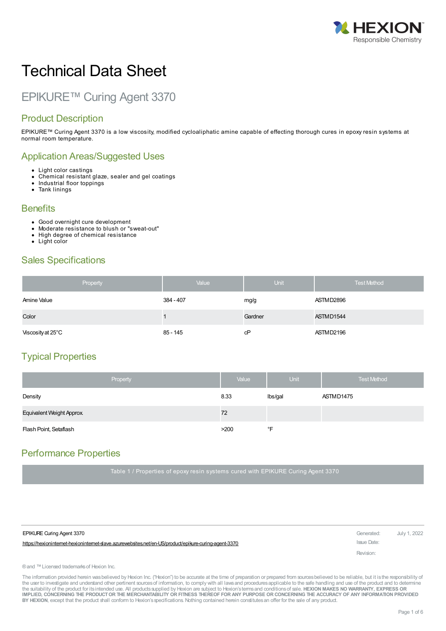

# Technical Data Sheet

## EPIKURE™ Curing Agent 3370

### Product Description

EPIKURE™ Curing Agent 3370 is a low viscosity, modified cycloaliphatic amine capable of effecting thorough cures in epoxy resin systems at normal room temperature.

#### Application Areas/Suggested Uses

- Light color castings
- Chemical resistant glaze, sealer and gel coatings
- Industrial floor toppings
- $\bullet$ Tank linings

#### **Benefits**

- Good overnight cure development  $\bullet$
- Moderate resistance to blush or "sweat-out"  $\ddot{\phantom{a}}$
- High degree of chemical resistance
- Light color

### Sales Specifications

| Property          | Value      | Unit    | <b>Test Method</b> |
|-------------------|------------|---------|--------------------|
| Amine Value       | 384 - 407  | mg/g    | ASTMD2896          |
| Color             |            | Gardner | ASTMD1544          |
| Viscosity at 25°C | $85 - 145$ | сP      | ASTMD2196          |

### Typical Properties

| Property                  | Value | <b>Unit</b> | <b>Test Method</b> |
|---------------------------|-------|-------------|--------------------|
| Density                   | 8.33  | Ibs/gal     | ASTMD1475          |
| Equivalent Weight Approx. | 72    |             |                    |
| Flash Point, Setaflash    | >200  | ∘⊏          |                    |

### Performance Properties

| EPIKURE Curing Agent 3370                                                                           | Generated:  | July 1, 2022 |
|-----------------------------------------------------------------------------------------------------|-------------|--------------|
| https://hexionintemet-hexionintemet-slave.azurewebsites.net/en-US/product/epikure-curing-agent-3370 | Issue Date: |              |
|                                                                                                     | Revision:   |              |

The information provided herein was believed by Hexion Inc. ("Hexion") to be accurate at the time of preparation or prepared from sources believed to be reliable, but it is the responsibility of the user to investigate and understand other pertinent sources of information, to comply with all laws and procedures applicable to the safe handling and use of the product and to determine the suitability of the product for itsintended use. All productssupplied by Hexion are subject to Hexion'stermsand conditionsof sale. **HEXION MAKES NO WARRANTY, EXPRESS OR** IMPLIED, CONCERNING THE PRODUCT OR THE MERCHANTABILITY OR FITNESS THEREOF FOR ANY PURPOSE OR CONCERNING THE ACCURACY OF ANY INFORMATION PROVIDED **BY HEXION**, except that the product shall conform to Hexion'sspecifications. Nothing contained herein constitutesan offer for the sale of any product.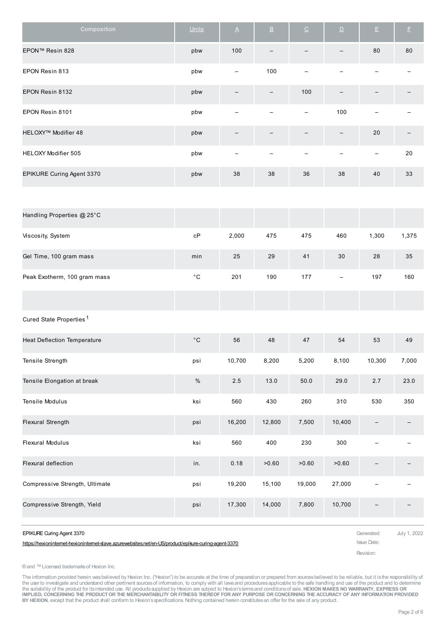| Composition                     | Units | $\Delta$          | $\underline{\mathsf{B}}$ | $\underline{\mathsf{C}}$ | $\mathbf{D}%$ | $\mathsf{E}$ | E. |
|---------------------------------|-------|-------------------|--------------------------|--------------------------|---------------|--------------|----|
| EPON™ Resin 828                 | pbw   | 100               |                          |                          | —             | 80           | 80 |
| EPON Resin 813                  | pbw   | $\qquad \qquad -$ | 100                      |                          |               |              |    |
| EPON Resin 8132                 | pbw   | -                 | -                        | 100                      | —             | —            |    |
| EPON Resin 8101                 | pbw   |                   |                          |                          | 100           |              |    |
| HELOXY <sup>™</sup> Modifier 48 | pbw   |                   |                          |                          |               | 20           |    |
| HELOXY Modifier 505             | pbw   |                   |                          |                          |               |              | 20 |
| EPIKURE Curing Agent 3370       | pbw   | 38                | 38                       | 36                       | 38            | 40           | 33 |

| Handling Properties @ 25°C   |              |       |     |     |                          |       |       |
|------------------------------|--------------|-------|-----|-----|--------------------------|-------|-------|
| Viscosity, System            | сP           | 2,000 | 475 | 475 | 460                      | 1,300 | 1,375 |
| Gel Time, 100 gram mass      | min          | 25    | 29  | 41  | 30                       | 28    | 35    |
| Peak Exotherm, 100 gram mass | $^{\circ}$ C | 201   | 190 | 177 | $\overline{\phantom{m}}$ | 197   | 160   |
|                              |              |       |     |     |                          |       |       |

#### Cured State Properties 1

| <b>Heat Deflection Temperature</b> | $^{\circ}$ C | 56     | 48     | 47     | 54     | 53     | 49    |
|------------------------------------|--------------|--------|--------|--------|--------|--------|-------|
| Tensile Strength                   | psi          | 10,700 | 8,200  | 5,200  | 8,100  | 10,300 | 7,000 |
| Tensile Elongation at break        | %            | 2.5    | 13.0   | 50.0   | 29.0   | 2.7    | 23.0  |
| Tensile Modulus                    | ksi          | 560    | 430    | 260    | 310    | 530    | 350   |
| <b>Flexural Strength</b>           | psi          | 16,200 | 12,800 | 7,500  | 10,400 |        |       |
| <b>Flexural Modulus</b>            | ksi          | 560    | 400    | 230    | 300    |        |       |
| <b>Flexural deflection</b>         | in.          | 0.18   | >0.60  | >0.60  | >0.60  | -      |       |
| Compressive Strength, Ultimate     | psi          | 19,200 | 15,100 | 19,000 | 27,000 |        |       |
| Compressive Strength, Yield        | psi          | 17,300 | 14,000 | 7,800  | 10,700 |        |       |

#### **EPIKURE Curing Agent 3370** July 1, 2022

#### https://hexioninternet-hexioninternet-slave.azurewebsites.net/en-US/product/epikure-curing-agent-3370 Issue Date: Issue Date:

Revision:

#### ® and ™ Licensed trademarks of Hexion Inc.

The information provided herein wasbelieved by Hexion Inc. ("Hexion") to be accurate at the time of preparation or prepared from sources believed to be reliable, but it is the responsibility of<br>the user to investigate and IMPLIED, CONCERNING THE PRODUCT OR THE MERCHANTABILITY OR FITNESS THEREOF FOR ANY PURPOSE OR CONCERNING THE ACCURACY OF ANY INFORMATION PROVIDED **BY HEXION**, except that the product shall conform to Hexion'sspecifications. Nothing contained herein constitutesan offer for the sale of any product.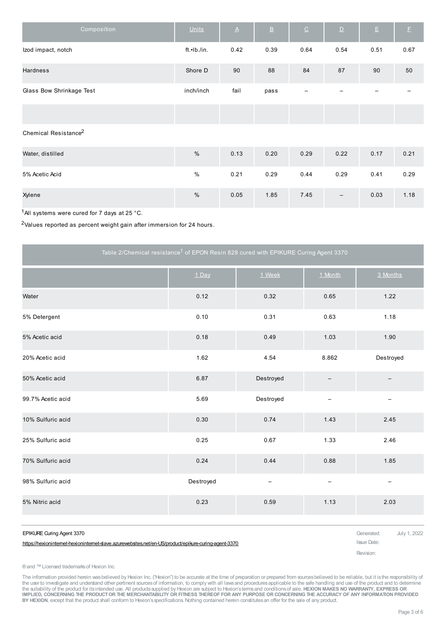| Composition                      | <b>Units</b> | $\underline{\mathsf{A}}$ | $\underline{\mathsf{B}}$ | $\underline{\texttt{C}}$ | $\underline{\mathsf{D}}$ | E,   | Ē,   |
|----------------------------------|--------------|--------------------------|--------------------------|--------------------------|--------------------------|------|------|
| Izod impact, notch               | ft.•Ib./in.  | 0.42                     | 0.39                     | 0.64                     | 0.54                     | 0.51 | 0.67 |
| Hardness                         | Shore D      | 90                       | 88                       | 84                       | 87                       | 90   | 50   |
| Glass Bow Shrinkage Test         | inch/inch    | fail                     | pass                     |                          |                          |      |      |
|                                  |              |                          |                          |                          |                          |      |      |
| Chemical Resistance <sup>2</sup> |              |                          |                          |                          |                          |      |      |
| Water, distilled                 | $\%$         | 0.13                     | 0.20                     | 0.29                     | 0.22                     | 0.17 | 0.21 |
| 5% Acetic Acid                   | $\%$         | 0.21                     | 0.29                     | 0.44                     | 0.29                     | 0.41 | 0.29 |
| Xylene                           | $\%$         | 0.05                     | 1.85                     | 7.45                     | $\qquad \qquad -$        | 0.03 | 1.18 |

 $1$ All systems were cured for 7 days at 25 °C.

2Values reported as percent weight gain after immersion for 24 hours.

| Table 2/Chemical resistance <sup>1</sup> of EPON Resin 828 cured with EPIKURE Curing Agent 3370                                    |           |                                                               |                          |                   |  |  |
|------------------------------------------------------------------------------------------------------------------------------------|-----------|---------------------------------------------------------------|--------------------------|-------------------|--|--|
|                                                                                                                                    | 1 Day     | 1 Week                                                        | 1 Month                  | 3 Months          |  |  |
| Water                                                                                                                              | 0.12      | 0.32                                                          | 0.65                     | 1.22              |  |  |
| 5% Detergent                                                                                                                       | 0.10      | 0.31                                                          | 0.63                     | 1.18              |  |  |
| 5% Acetic acid                                                                                                                     | 0.18      | 0.49                                                          | 1.03                     | 1.90              |  |  |
| 20% Acetic acid                                                                                                                    | 1.62      | 4.54                                                          | 8.862                    | Destroyed         |  |  |
| 50% Acetic acid                                                                                                                    | 6.87      | Destroyed                                                     | $\overline{\phantom{a}}$ | $\qquad \qquad -$ |  |  |
| 99.7% Acetic acid                                                                                                                  | 5.69      | Destroyed                                                     |                          |                   |  |  |
| 10% Sulfuric acid                                                                                                                  | 0.30      | 0.74                                                          | 1.43                     | 2.45              |  |  |
| 25% Sulfuric acid                                                                                                                  | 0.25      | 0.67                                                          | 1.33                     | 2.46              |  |  |
| 70% Sulfuric acid                                                                                                                  | 0.24      | 0.44                                                          | 0.88                     | 1.85              |  |  |
| 98% Sulfuric acid                                                                                                                  | Destroyed | $\overline{\phantom{0}}$                                      | $\qquad \qquad -$        |                   |  |  |
| 5% Nitric acid                                                                                                                     | 0.23      | 0.59                                                          | 1.13                     | 2.03              |  |  |
| EPIKURE Curing Agent 3370<br>https://hexioninternet-hexioninternet-slave.azurewebsites.net/en-US/product/epikure-curing-agent-3370 |           | July 1, 2022<br>Generated:<br><b>Issue Date:</b><br>Revision: |                          |                   |  |  |

®and ™Licensed trademarksof Hexion Inc.

The information provided herein wasbelieved by Hexion Inc. ("Hexion") to be accurate at the time of preparation or prepared from sources believed to be reliable, but it is the responsibility of<br>the user to investigate and IMPLIED, CONCERNING THE PRODUCT OR THE MERCHANTABILITY OR FITNESS THEREOF FOR ANY PURPOSE OR CONCERNING THE ACCURACY OF ANY INFORMATION PROVIDED **BY HEXION**, except that the product shall conform to Hexion'sspecifications. Nothing contained herein constitutesan offer for the sale of any product.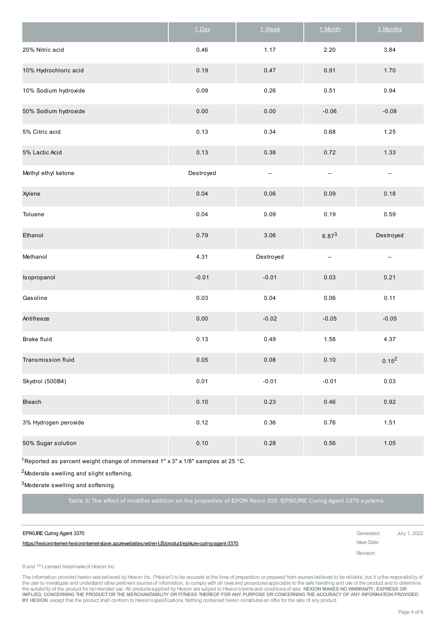|                       | $1$ Day   | 1 Week                   | 1 Month           | 3 Months          |
|-----------------------|-----------|--------------------------|-------------------|-------------------|
| 20% Nitric acid       | 0.46      | 1.17                     | 2.20              | 3.84              |
| 10% Hydrochloric acid | 0.19      | 0.47                     | 0.91              | 1.70              |
| 10% Sodium hydroxide  | 0.09      | 0.26                     | 0.51              | 0.94              |
| 50% Sodium hydroxide  | 0.00      | $0.00\,$                 | $-0.06$           | $-0.08$           |
| 5% Citric acid        | 0.13      | 0.34                     | 0.68              | 1.25              |
| 5% Lactic Acid        | 0.13      | 0.38                     | 0.72              | 1.33              |
| Methyl ethyl ketone   | Destroyed | $\overline{\phantom{0}}$ | $\qquad \qquad -$ | $\qquad \qquad -$ |
| Xylene                | 0.04      | 0.06                     | 0.09              | 0.18              |
| Toluene               | 0.04      | 0.09                     | 0.19              | 0.59              |
| Ethanol               | 0.79      | 3.06                     | $6.87^{3}$        | Destroyed         |
| Methanol              | 4.31      | Destroyed                | $\qquad \qquad -$ | $\qquad \qquad -$ |
| Isopropanol           | $-0.01$   | $-0.01$                  | 0.03              | 0.21              |
| Gasoline              | 0.03      | 0.04                     | 0.06              | 0.11              |
| Antifreeze            | $0.00\,$  | $-0.02$                  | $-0.05$           | $-0.05$           |
| Brake fluid           | 0.13      | 0.49                     | 1.58              | 4.37              |
| Transmission fluid    | 0.05      | 0.08                     | 0.10              | 0.15 <sup>2</sup> |
| Skydrol (500B4)       | 0.01      | $-0.01$                  | $-0.01$           | 0.03              |
| Bleach                | 0.10      | 0.23                     | 0.46              | 0.92              |
| 3% Hydrogen peroxide  | 0.12      | 0.36                     | 0.76              | 1.51              |
| 50% Sugar solution    | 0.10      | 0.28                     | 0.56              | 1.05              |

<sup>1</sup>Reported as percent weight change of immersed  $1" x 3" x 1/8"$  samples at 25 °C.

2Moderate swelling and slight softening.

3Moderate swelling and softening.

Table 3/ The effect of modifier addition on the properties of EPON Resin 828 /EPIKURE Curing Agent 3370 systems

| EPIKURE Curing Agent 3370                                                                             | Generated:  | July 1, 2022 |
|-------------------------------------------------------------------------------------------------------|-------------|--------------|
| https://hexioninternet-hexioninternet-slave.azurewebsites.net/en-US/product/epikure-curing-agent-3370 | Issue Date: |              |
|                                                                                                       | Revision:   |              |

® and ™ Licensed trademarks of Hexion Inc.

The information provided herein was believed by Hexion Inc. ("Hexion") to be accurate at the time of preparation or prepared from sources believed to be reliable, but it is the responsibility of the user to investigate and understand other pertinent sources of information, to comply with all laws and procedures applicable to the safe handling and use of the product and to determine<br>the suitability of the product f IMPLIED, CONCERNING THE PRODUCT OR THE MERCHANTABILITY OR FITNESS THEREOF FOR ANY PURPOSE OR CONCERNING THE ACCURACY OF ANY INFORMATION PROVIDED **BY HEXION**, except that the product shall conform to Hexion'sspecifications. Nothing contained herein constitutesan offer for the sale of any product.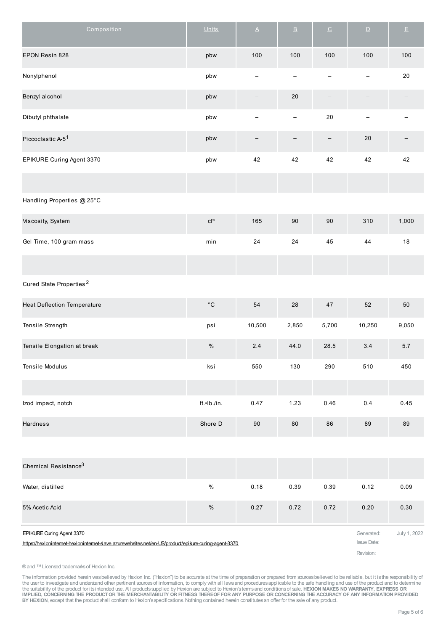| Composition                                                                                                                        | <b>Units</b>           | $\Delta$                                      | $\ensuremath{\mathsf{B}}$ | $\underline{\mathbb{C}}$ | $\mathbf D$ | $\mathsf{E}$ |
|------------------------------------------------------------------------------------------------------------------------------------|------------------------|-----------------------------------------------|---------------------------|--------------------------|-------------|--------------|
| EPON Resin 828                                                                                                                     | pbw                    | 100                                           | 100                       | 100                      | 100         | 100          |
| Nonylphenol                                                                                                                        | pbw                    |                                               |                           |                          |             | $20\,$       |
| Benzyl alcohol                                                                                                                     | pbw                    |                                               | 20                        | $\qquad \qquad -$        |             |              |
| Dibutyl phthalate                                                                                                                  | pbw                    |                                               |                           | $20\,$                   | —           |              |
| Piccoclastic A-5 <sup>1</sup>                                                                                                      | pbw                    |                                               |                           |                          | 20          |              |
| EPIKURE Curing Agent 3370                                                                                                          | pbw                    | 42                                            | 42                        | 42                       | 42          | 42           |
|                                                                                                                                    |                        |                                               |                           |                          |             |              |
| Handling Properties @ 25°C                                                                                                         |                        |                                               |                           |                          |             |              |
| Viscosity, System                                                                                                                  | $\mathsf{c}\mathsf{P}$ | 165                                           | 90                        | $90\,$                   | 310         | 1,000        |
| Gel Time, 100 gram mass                                                                                                            | min                    | 24                                            | 24                        | 45                       | 44          | $18$         |
|                                                                                                                                    |                        |                                               |                           |                          |             |              |
| Cured State Properties <sup>2</sup>                                                                                                |                        |                                               |                           |                          |             |              |
| <b>Heat Deflection Temperature</b>                                                                                                 | $^{\circ}{\rm C}$      | 54                                            | 28                        | $47\,$                   | 52          | 50           |
| Tensile Strength                                                                                                                   | psi                    | 10,500                                        | 2,850                     | 5,700                    | 10,250      | 9,050        |
| Tensile Elongation at break                                                                                                        | $\%$                   | 2.4                                           | 44.0                      | 28.5                     | 3.4         | 5.7          |
| Tensile Modulus                                                                                                                    | ksi                    | 550                                           | 130                       | 290                      | 510         | 450          |
|                                                                                                                                    |                        |                                               |                           |                          |             |              |
| Izod impact, notch                                                                                                                 | ft.•Ib./in.            | 0.47                                          | 1.23                      | 0.46                     | 0.4         | 0.45         |
| Hardness                                                                                                                           | Shore D                | $90\,$                                        | 80                        | 86                       | 89          | 89           |
|                                                                                                                                    |                        |                                               |                           |                          |             |              |
| Chemical Resistance <sup>3</sup>                                                                                                   |                        |                                               |                           |                          |             |              |
| Water, distilled                                                                                                                   | $\%$                   | 0.18                                          | 0.39                      | 0.39                     | 0.12        | 0.09         |
| 5% Acetic Acid                                                                                                                     | $\%$                   | 0.27                                          | 0.72                      | 0.72                     | 0.20        | 0.30         |
| EPIKURE Curing Agent 3370<br>https://hexioninternet-hexioninternet-slave.azurewebsites.net/en-US/product/epikure-curing-agent-3370 |                        | Generated:<br><b>Issue Date:</b><br>Revision: | July 1, 2022              |                          |             |              |

®and ™Licensed trademarksof Hexion Inc.

The information provided herein was believed by Hexion Inc. ("Hexion") to be accurate at the time of preparation or prepared from sources believed to be reliable, but it is the responsibility of<br>the user to investigate and